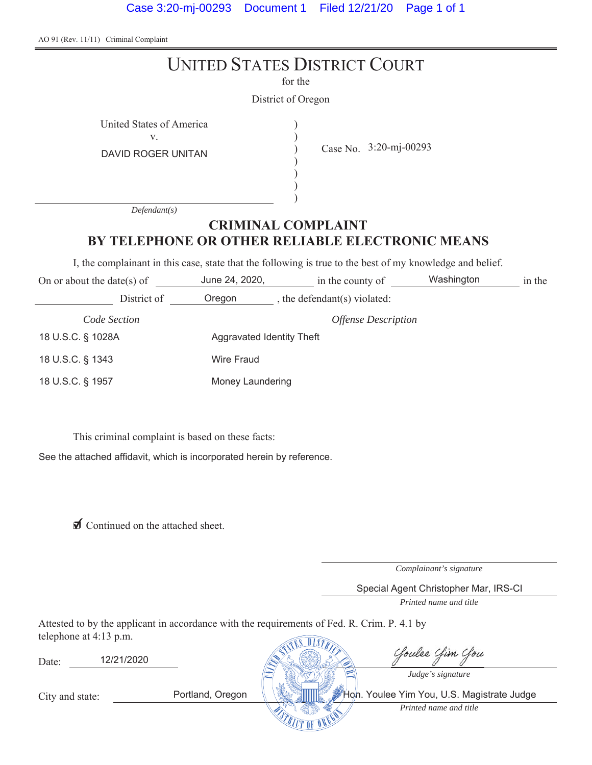Case 3:20-mj-00293 Document 1 Filed 12/21/20 Page 1 of 1

AO 91 (Rev. 11/11) Criminal Complaint

| <b>UNITED STATES DISTRICT COURT</b><br>for the                                                            |                                                 |                                            |  |        |  |  |
|-----------------------------------------------------------------------------------------------------------|-------------------------------------------------|--------------------------------------------|--|--------|--|--|
|                                                                                                           | District of Oregon                              |                                            |  |        |  |  |
| United States of America<br>V.<br><b>DAVID ROGER UNITAN</b>                                               |                                                 | Case No. 3:20-mj-00293                     |  |        |  |  |
| Defendant(s)                                                                                              |                                                 |                                            |  |        |  |  |
| <b>CRIMINAL COMPLAINT</b>                                                                                 |                                                 |                                            |  |        |  |  |
| BY TELEPHONE OR OTHER RELIABLE ELECTRONIC MEANS                                                           |                                                 |                                            |  |        |  |  |
| I, the complainant in this case, state that the following is true to the best of my knowledge and belief. |                                                 |                                            |  |        |  |  |
| On or about the date(s) of                                                                                |                                                 | June 24, 2020, in the county of Washington |  | in the |  |  |
|                                                                                                           | District of Oregon , the defendant(s) violated: |                                            |  |        |  |  |
| Code Section                                                                                              |                                                 | <b>Offense Description</b>                 |  |        |  |  |
| 18 U.S.C. § 1028A                                                                                         | Aggravated Identity Theft                       |                                            |  |        |  |  |
| 18 U.S.C. § 1343                                                                                          | <b>Wire Fraud</b>                               |                                            |  |        |  |  |
| 18 U.S.C. § 1957                                                                                          | Money Laundering                                |                                            |  |        |  |  |

This criminal complaint is based on these facts:

See the attached affidavit, which is incorporated herein by reference.

◯ Continued on the attached sheet.

*Complainant's signature*

Special Agent Christopher Mar, IRS-CI

*Printed name and title*

Attested to by the applicant in accordance with the requirements of Fed. R. Crim. P. 4.1 by telephone at  $4:13$  p.m.  $\sqrt{a + b}$ 

| Date:           | 12/21/2020 |                  | Cloulse Clim Clou                                               |
|-----------------|------------|------------------|-----------------------------------------------------------------|
| City and state: |            | Portland, Oregon | Judge's signature<br>Hoh. Youlee Yim You, U.S. Magistrate Judge |
|                 |            |                  | Printed name and title                                          |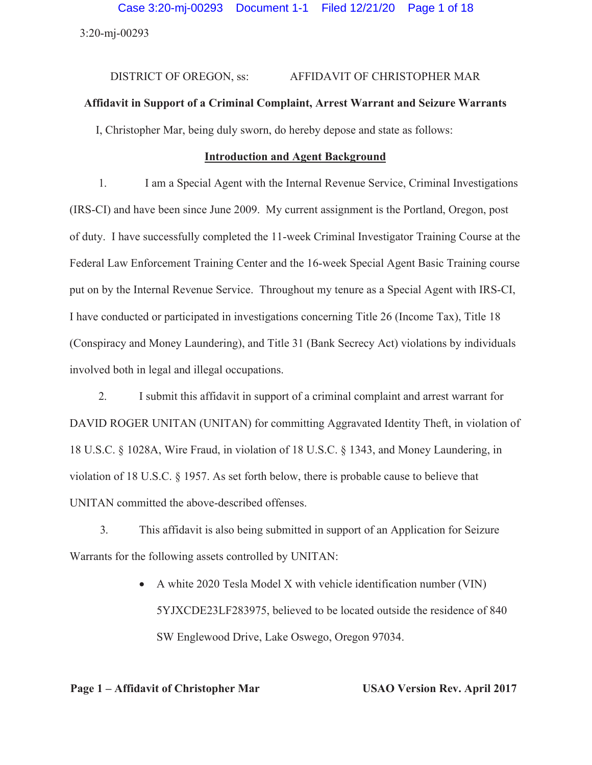3:20-mj-00293 Case 3:20-mj-00293 Document 1-1 Filed 12/21/20 Page 1 of 18

# DISTRICT OF OREGON, ss: AFFIDAVIT OF CHRISTOPHER MAR **Affidavit in Support of a Criminal Complaint, Arrest Warrant and Seizure Warrants**

I, Christopher Mar, being duly sworn, do hereby depose and state as follows:

# **Introduction and Agent Background**

1. I am a Special Agent with the Internal Revenue Service, Criminal Investigations (IRS-CI) and have been since June 2009. My current assignment is the Portland, Oregon, post of duty. I have successfully completed the 11-week Criminal Investigator Training Course at the Federal Law Enforcement Training Center and the 16-week Special Agent Basic Training course put on by the Internal Revenue Service. Throughout my tenure as a Special Agent with IRS-CI, I have conducted or participated in investigations concerning Title 26 (Income Tax), Title 18 (Conspiracy and Money Laundering), and Title 31 (Bank Secrecy Act) violations by individuals involved both in legal and illegal occupations.

2. I submit this affidavit in support of a criminal complaint and arrest warrant for DAVID ROGER UNITAN (UNITAN) for committing Aggravated Identity Theft, in violation of 18 U.S.C. § 1028A, Wire Fraud, in violation of 18 U.S.C. § 1343, and Money Laundering, in violation of 18 U.S.C. § 1957. As set forth below, there is probable cause to believe that UNITAN committed the above-described offenses.

3. This affidavit is also being submitted in support of an Application for Seizure Warrants for the following assets controlled by UNITAN:

> $\bullet$  A white 2020 Tesla Model X with vehicle identification number (VIN) 5YJXCDE23LF283975, believed to be located outside the residence of 840 SW Englewood Drive, Lake Oswego, Oregon 97034.

# **Page 1 – Affidavit of Christopher Mar USAO Version Rev. April 2017**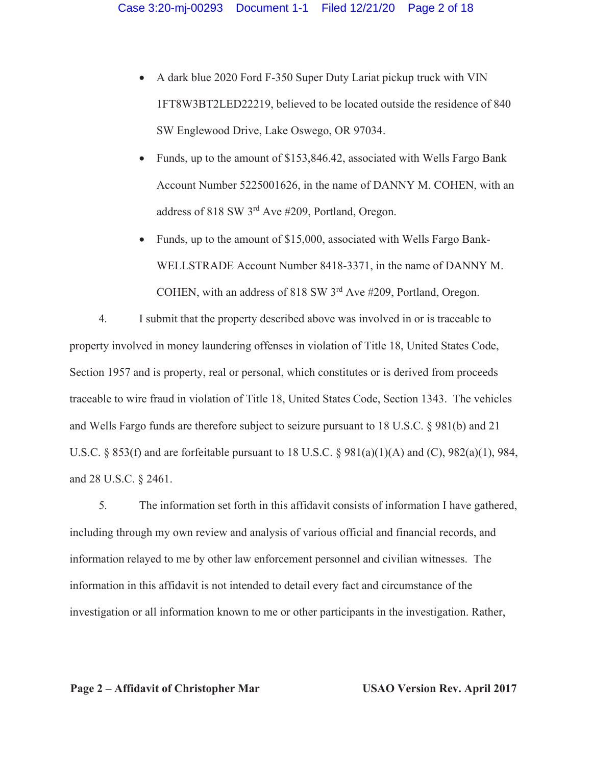- A dark blue 2020 Ford F-350 Super Duty Lariat pickup truck with VIN 1FT8W3BT2LED22219, believed to be located outside the residence of 840 SW Englewood Drive, Lake Oswego, OR 97034.
- Funds, up to the amount of \$153,846.42, associated with Wells Fargo Bank Account Number 5225001626, in the name of DANNY M. COHEN, with an address of 818 SW 3rd Ave #209, Portland, Oregon.
- Funds, up to the amount of \$15,000, associated with Wells Fargo Bank-WELLSTRADE Account Number 8418-3371, in the name of DANNY M. COHEN, with an address of 818 SW 3rd Ave #209, Portland, Oregon.

4. I submit that the property described above was involved in or is traceable to property involved in money laundering offenses in violation of Title 18, United States Code, Section 1957 and is property, real or personal, which constitutes or is derived from proceeds traceable to wire fraud in violation of Title 18, United States Code, Section 1343. The vehicles and Wells Fargo funds are therefore subject to seizure pursuant to 18 U.S.C. § 981(b) and 21 U.S.C. § 853(f) and are forfeitable pursuant to 18 U.S.C. § 981(a)(1)(A) and (C), 982(a)(1), 984, and 28 U.S.C. § 2461.

5. The information set forth in this affidavit consists of information I have gathered, including through my own review and analysis of various official and financial records, and information relayed to me by other law enforcement personnel and civilian witnesses. The information in this affidavit is not intended to detail every fact and circumstance of the investigation or all information known to me or other participants in the investigation. Rather,

**Page 2 – Affidavit of Christopher Mar USAO Version Rev. April 2017**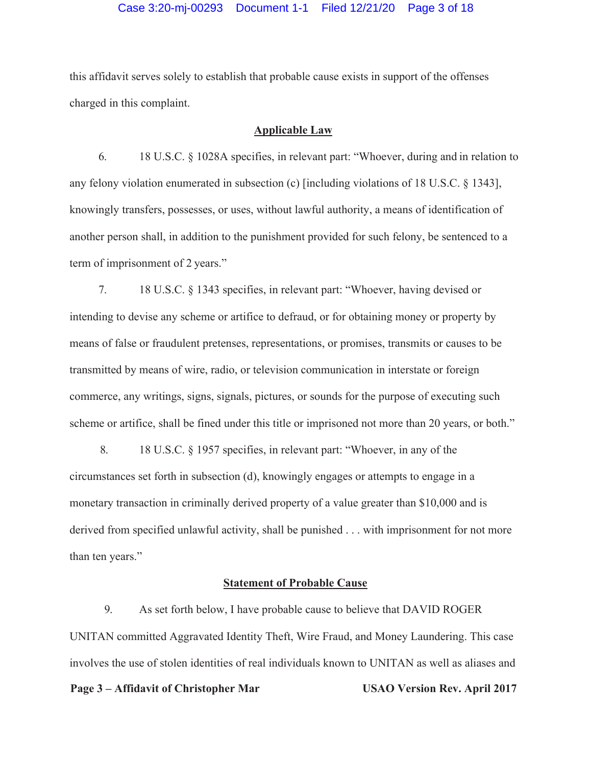this affidavit serves solely to establish that probable cause exists in support of the offenses charged in this complaint.

# **Applicable Law**

6. 18 U.S.C. § 1028A specifies, in relevant part: "Whoever, during and in relation to any felony violation enumerated in subsection (c) [including violations of 18 U.S.C. § 1343], knowingly transfers, possesses, or uses, without lawful authority, a means of identification of another person shall, in addition to the punishment provided for such felony, be sentenced to a term of imprisonment of 2 years."

7. 18 U.S.C. § 1343 specifies, in relevant part: "Whoever, having devised or intending to devise any scheme or artifice to defraud, or for obtaining money or property by means of false or fraudulent pretenses, representations, or promises, transmits or causes to be transmitted by means of wire, radio, or television communication in interstate or foreign commerce, any writings, signs, signals, pictures, or sounds for the purpose of executing such scheme or artifice, shall be fined under this title or imprisoned not more than 20 years, or both."

8. 18 U.S.C. § 1957 specifies, in relevant part: "Whoever, in any of the circumstances set forth in subsection (d), knowingly engages or attempts to engage in a monetary transaction in criminally derived property of a value greater than \$10,000 and is derived from specified unlawful activity, shall be punished . . . with imprisonment for not more than ten years."

#### **Statement of Probable Cause**

9. As set forth below, I have probable cause to believe that DAVID ROGER UNITAN committed Aggravated Identity Theft, Wire Fraud, and Money Laundering. This case involves the use of stolen identities of real individuals known to UNITAN as well as aliases and

#### Page 3 – Affidavit of Christopher Mar USAO Version Rev. April 2017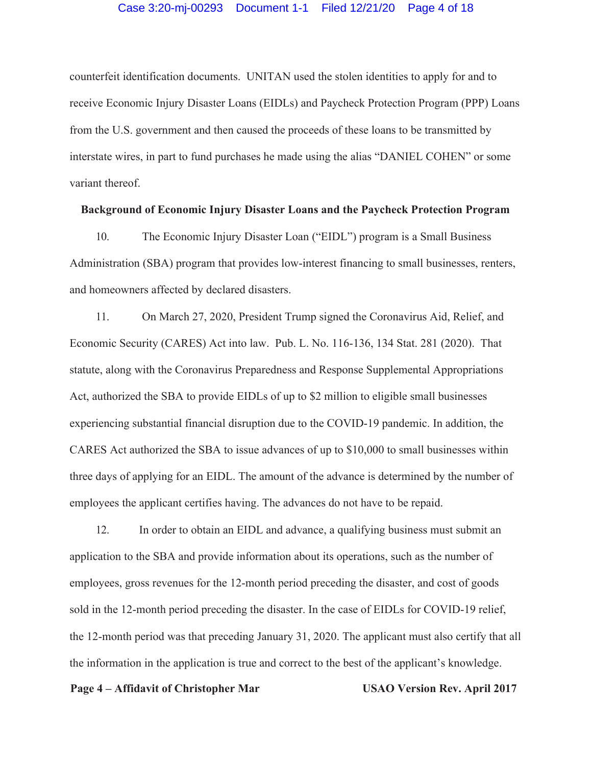#### Case 3:20-mj-00293 Document 1-1 Filed 12/21/20 Page 4 of 18

counterfeit identification documents. UNITAN used the stolen identities to apply for and to receive Economic Injury Disaster Loans (EIDLs) and Paycheck Protection Program (PPP) Loans from the U.S. government and then caused the proceeds of these loans to be transmitted by interstate wires, in part to fund purchases he made using the alias "DANIEL COHEN" or some variant thereof.

# **Background of Economic Injury Disaster Loans and the Paycheck Protection Program**

10. The Economic Injury Disaster Loan ("EIDL") program is a Small Business Administration (SBA) program that provides low-interest financing to small businesses, renters, and homeowners affected by declared disasters.

11. On March 27, 2020, President Trump signed the Coronavirus Aid, Relief, and Economic Security (CARES) Act into law. Pub. L. No. 116-136, 134 Stat. 281 (2020). That statute, along with the Coronavirus Preparedness and Response Supplemental Appropriations Act, authorized the SBA to provide EIDLs of up to \$2 million to eligible small businesses experiencing substantial financial disruption due to the COVID-19 pandemic. In addition, the CARES Act authorized the SBA to issue advances of up to \$10,000 to small businesses within three days of applying for an EIDL. The amount of the advance is determined by the number of employees the applicant certifies having. The advances do not have to be repaid.

12. In order to obtain an EIDL and advance, a qualifying business must submit an application to the SBA and provide information about its operations, such as the number of employees, gross revenues for the 12-month period preceding the disaster, and cost of goods sold in the 12-month period preceding the disaster. In the case of EIDLs for COVID-19 relief, the 12-month period was that preceding January 31, 2020. The applicant must also certify that all the information in the application is true and correct to the best of the applicant's knowledge.

# Page 4 – Affidavit of Christopher Mar **USAO Version Rev. April 2017**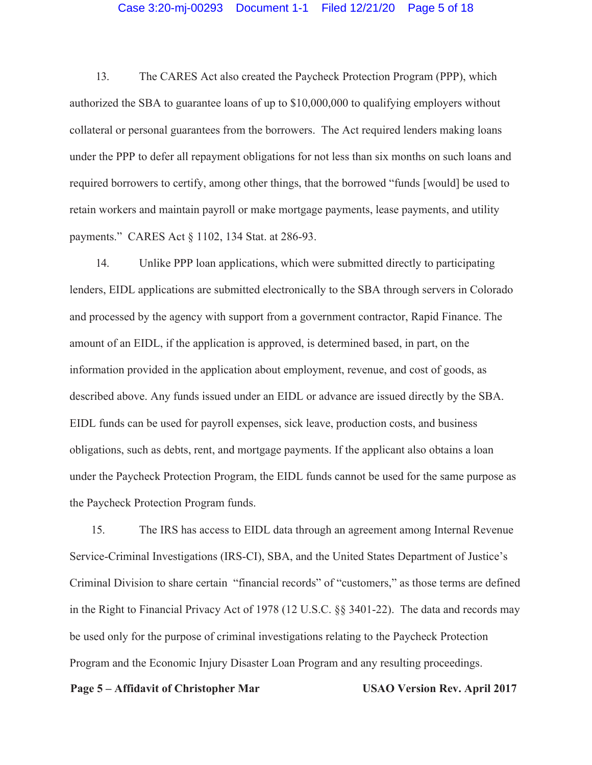### Case 3:20-mj-00293 Document 1-1 Filed 12/21/20 Page 5 of 18

13. The CARES Act also created the Paycheck Protection Program (PPP), which authorized the SBA to guarantee loans of up to \$10,000,000 to qualifying employers without collateral or personal guarantees from the borrowers. The Act required lenders making loans under the PPP to defer all repayment obligations for not less than six months on such loans and required borrowers to certify, among other things, that the borrowed "funds [would] be used to retain workers and maintain payroll or make mortgage payments, lease payments, and utility payments." CARES Act § 1102, 134 Stat. at 286-93.

14. Unlike PPP loan applications, which were submitted directly to participating lenders, EIDL applications are submitted electronically to the SBA through servers in Colorado and processed by the agency with support from a government contractor, Rapid Finance. The amount of an EIDL, if the application is approved, is determined based, in part, on the information provided in the application about employment, revenue, and cost of goods, as described above. Any funds issued under an EIDL or advance are issued directly by the SBA. EIDL funds can be used for payroll expenses, sick leave, production costs, and business obligations, such as debts, rent, and mortgage payments. If the applicant also obtains a loan under the Paycheck Protection Program, the EIDL funds cannot be used for the same purpose as the Paycheck Protection Program funds.

15. The IRS has access to EIDL data through an agreement among Internal Revenue Service-Criminal Investigations (IRS-CI), SBA, and the United States Department of Justice's Criminal Division to share certain "financial records" of "customers," as those terms are defined in the Right to Financial Privacy Act of 1978 (12 U.S.C. §§ 3401-22). The data and records may be used only for the purpose of criminal investigations relating to the Paycheck Protection Program and the Economic Injury Disaster Loan Program and any resulting proceedings.

#### **Page 5 – Affidavit of Christopher Mar USAO Version Rev. April 2017**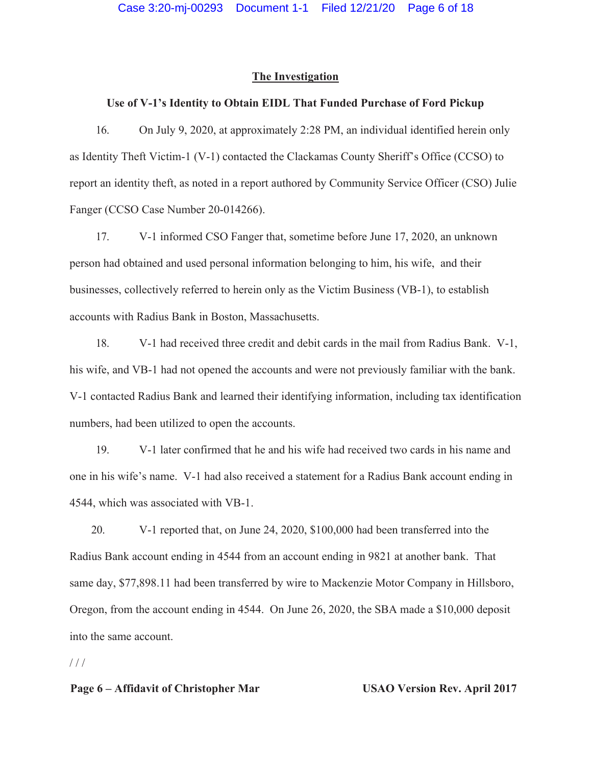# **The Investigation**

# **Use of V-1's Identity to Obtain EIDL That Funded Purchase of Ford Pickup**

16. On July 9, 2020, at approximately 2:28 PM, an individual identified herein only as Identity Theft Victim-1 (V-1) contacted the Clackamas County Sheriff's Office (CCSO) to report an identity theft, as noted in a report authored by Community Service Officer (CSO) Julie Fanger (CCSO Case Number 20-014266).

17. V-1 informed CSO Fanger that, sometime before June 17, 2020, an unknown person had obtained and used personal information belonging to him, his wife, and their businesses, collectively referred to herein only as the Victim Business (VB-1), to establish accounts with Radius Bank in Boston, Massachusetts.

18. V-1 had received three credit and debit cards in the mail from Radius Bank. V-1, his wife, and VB-1 had not opened the accounts and were not previously familiar with the bank. V-1 contacted Radius Bank and learned their identifying information, including tax identification numbers, had been utilized to open the accounts.

19. V-1 later confirmed that he and his wife had received two cards in his name and one in his wife's name. V-1 had also received a statement for a Radius Bank account ending in 4544, which was associated with VB-1.

20. V-1 reported that, on June 24, 2020, \$100,000 had been transferred into the Radius Bank account ending in 4544 from an account ending in 9821 at another bank. That same day, \$77,898.11 had been transferred by wire to Mackenzie Motor Company in Hillsboro, Oregon, from the account ending in 4544. On June 26, 2020, the SBA made a \$10,000 deposit into the same account.

 $1/1$ 

# **Page 6 – Affidavit of Christopher Mar USAO Version Rev. April 2017**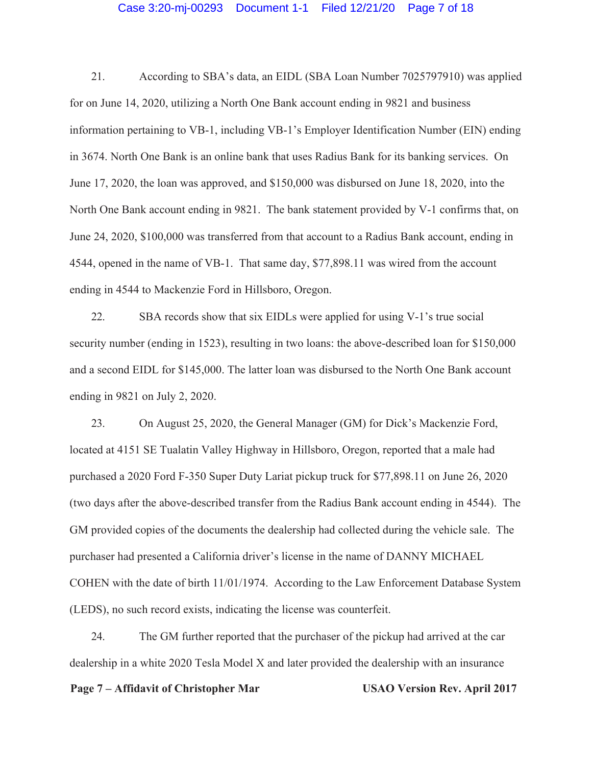#### Case 3:20-mj-00293 Document 1-1 Filed 12/21/20 Page 7 of 18

21. According to SBA's data, an EIDL (SBA Loan Number 7025797910) was applied for on June 14, 2020, utilizing a North One Bank account ending in 9821 and business information pertaining to VB-1, including VB-1's Employer Identification Number (EIN) ending in 3674. North One Bank is an online bank that uses Radius Bank for its banking services. On June 17, 2020, the loan was approved, and \$150,000 was disbursed on June 18, 2020, into the North One Bank account ending in 9821. The bank statement provided by V-1 confirms that, on June 24, 2020, \$100,000 was transferred from that account to a Radius Bank account, ending in 4544, opened in the name of VB-1. That same day, \$77,898.11 was wired from the account ending in 4544 to Mackenzie Ford in Hillsboro, Oregon.

22. SBA records show that six EIDLs were applied for using V-1's true social security number (ending in 1523), resulting in two loans: the above-described loan for \$150,000 and a second EIDL for \$145,000. The latter loan was disbursed to the North One Bank account ending in 9821 on July 2, 2020.

23. On August 25, 2020, the General Manager (GM) for Dick's Mackenzie Ford, located at 4151 SE Tualatin Valley Highway in Hillsboro, Oregon, reported that a male had purchased a 2020 Ford F-350 Super Duty Lariat pickup truck for \$77,898.11 on June 26, 2020 (two days after the above-described transfer from the Radius Bank account ending in 4544). The GM provided copies of the documents the dealership had collected during the vehicle sale. The purchaser had presented a California driver's license in the name of DANNY MICHAEL COHEN with the date of birth 11/01/1974. According to the Law Enforcement Database System (LEDS), no such record exists, indicating the license was counterfeit.

24. The GM further reported that the purchaser of the pickup had arrived at the car dealership in a white 2020 Tesla Model X and later provided the dealership with an insurance

#### **Page 7 – Affidavit of Christopher Mar USAO Version Rev. April 2017**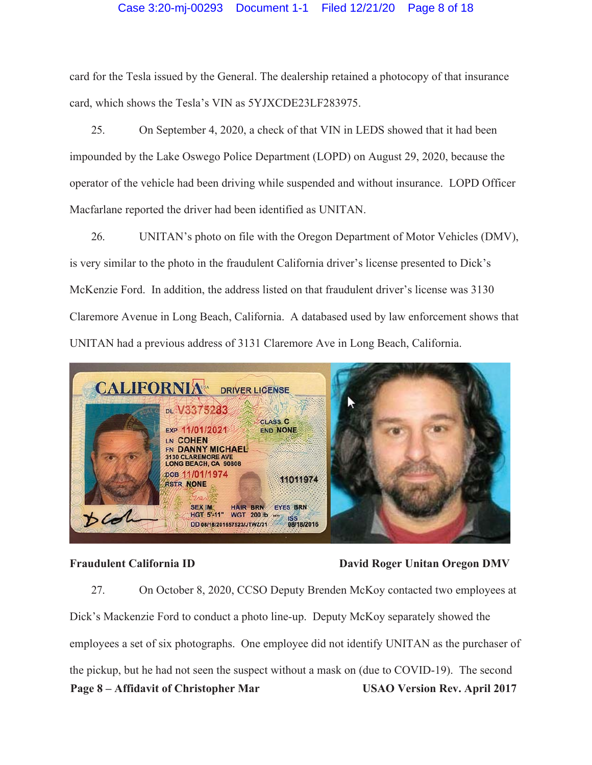# Case 3:20-mj-00293 Document 1-1 Filed 12/21/20 Page 8 of 18

card for the Tesla issued by the General. The dealership retained a photocopy of that insurance card, which shows the Tesla's VIN as 5YJXCDE23LF283975.

25. On September 4, 2020, a check of that VIN in LEDS showed that it had been impounded by the Lake Oswego Police Department (LOPD) on August 29, 2020, because the operator of the vehicle had been driving while suspended and without insurance. LOPD Officer Macfarlane reported the driver had been identified as UNITAN.

26. UNITAN's photo on file with the Oregon Department of Motor Vehicles (DMV), is very similar to the photo in the fraudulent California driver's license presented to Dick's McKenzie Ford. In addition, the address listed on that fraudulent driver's license was 3130 Claremore Avenue in Long Beach, California. A databased used by law enforcement shows that UNITAN had a previous address of 3131 Claremore Ave in Long Beach, California.



# **Fraudulent California ID David Roger Unitan Oregon DMV**

**Page 8 – Affidavit of Christopher Mar USAO Version Rev. April 2017**  27. On October 8, 2020, CCSO Deputy Brenden McKoy contacted two employees at Dick's Mackenzie Ford to conduct a photo line-up. Deputy McKoy separately showed the employees a set of six photographs. One employee did not identify UNITAN as the purchaser of the pickup, but he had not seen the suspect without a mask on (due to COVID-19). The second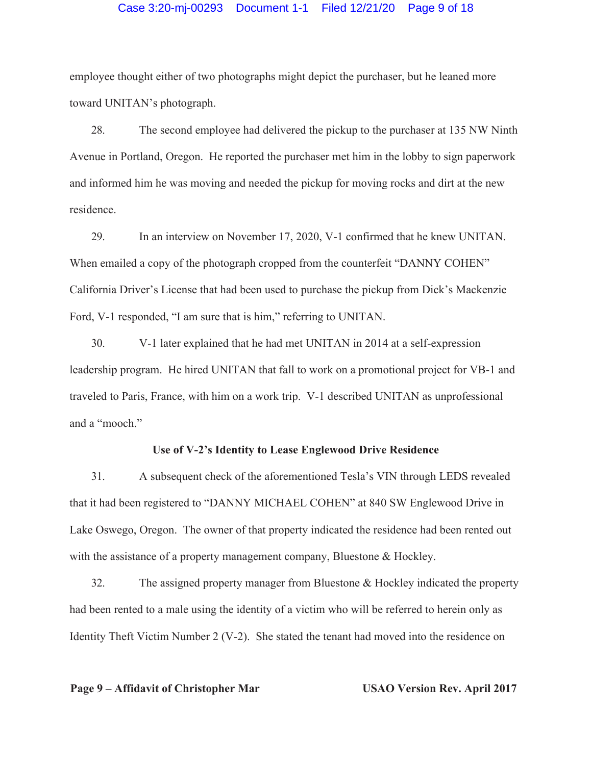# Case 3:20-mj-00293 Document 1-1 Filed 12/21/20 Page 9 of 18

employee thought either of two photographs might depict the purchaser, but he leaned more toward UNITAN's photograph.

28. The second employee had delivered the pickup to the purchaser at 135 NW Ninth Avenue in Portland, Oregon. He reported the purchaser met him in the lobby to sign paperwork and informed him he was moving and needed the pickup for moving rocks and dirt at the new residence.

29. In an interview on November 17, 2020, V-1 confirmed that he knew UNITAN. When emailed a copy of the photograph cropped from the counterfeit "DANNY COHEN" California Driver's License that had been used to purchase the pickup from Dick's Mackenzie Ford, V-1 responded, "I am sure that is him," referring to UNITAN.

30. V-1 later explained that he had met UNITAN in 2014 at a self-expression leadership program. He hired UNITAN that fall to work on a promotional project for VB-1 and traveled to Paris, France, with him on a work trip. V-1 described UNITAN as unprofessional and a "mooch."

# **Use of V-2's Identity to Lease Englewood Drive Residence**

31. A subsequent check of the aforementioned Tesla's VIN through LEDS revealed that it had been registered to "DANNY MICHAEL COHEN" at 840 SW Englewood Drive in Lake Oswego, Oregon. The owner of that property indicated the residence had been rented out with the assistance of a property management company, Bluestone & Hockley.

32. The assigned property manager from Bluestone & Hockley indicated the property had been rented to a male using the identity of a victim who will be referred to herein only as Identity Theft Victim Number 2 (V-2). She stated the tenant had moved into the residence on

# **Page 9 – Affidavit of Christopher Mar USAO Version Rev. April 2017**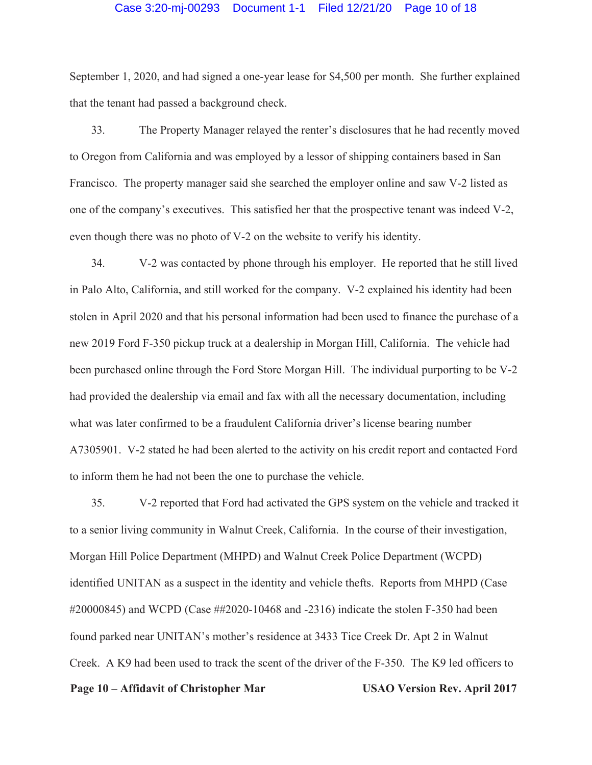#### Case 3:20-mj-00293 Document 1-1 Filed 12/21/20 Page 10 of 18

September 1, 2020, and had signed a one-year lease for \$4,500 per month. She further explained that the tenant had passed a background check.

33. The Property Manager relayed the renter's disclosures that he had recently moved to Oregon from California and was employed by a lessor of shipping containers based in San Francisco. The property manager said she searched the employer online and saw V-2 listed as one of the company's executives. This satisfied her that the prospective tenant was indeed V-2, even though there was no photo of V-2 on the website to verify his identity.

34. V-2 was contacted by phone through his employer. He reported that he still lived in Palo Alto, California, and still worked for the company. V-2 explained his identity had been stolen in April 2020 and that his personal information had been used to finance the purchase of a new 2019 Ford F-350 pickup truck at a dealership in Morgan Hill, California. The vehicle had been purchased online through the Ford Store Morgan Hill. The individual purporting to be V-2 had provided the dealership via email and fax with all the necessary documentation, including what was later confirmed to be a fraudulent California driver's license bearing number A7305901. V-2 stated he had been alerted to the activity on his credit report and contacted Ford to inform them he had not been the one to purchase the vehicle.

**Page 10 – Affidavit of Christopher Mar USAO Version Rev. April 2017**  35. V-2 reported that Ford had activated the GPS system on the vehicle and tracked it to a senior living community in Walnut Creek, California. In the course of their investigation, Morgan Hill Police Department (MHPD) and Walnut Creek Police Department (WCPD) identified UNITAN as a suspect in the identity and vehicle thefts. Reports from MHPD (Case #20000845) and WCPD (Case ##2020-10468 and -2316) indicate the stolen F-350 had been found parked near UNITAN's mother's residence at 3433 Tice Creek Dr. Apt 2 in Walnut Creek. A K9 had been used to track the scent of the driver of the F-350. The K9 led officers to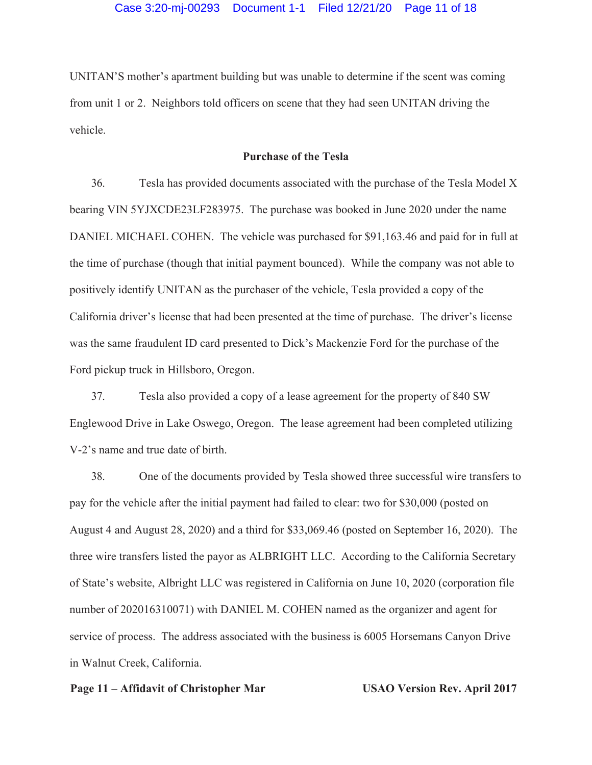UNITAN'S mother's apartment building but was unable to determine if the scent was coming from unit 1 or 2. Neighbors told officers on scene that they had seen UNITAN driving the vehicle.

# **Purchase of the Tesla**

36. Tesla has provided documents associated with the purchase of the Tesla Model X bearing VIN 5YJXCDE23LF283975. The purchase was booked in June 2020 under the name DANIEL MICHAEL COHEN. The vehicle was purchased for \$91,163.46 and paid for in full at the time of purchase (though that initial payment bounced). While the company was not able to positively identify UNITAN as the purchaser of the vehicle, Tesla provided a copy of the California driver's license that had been presented at the time of purchase. The driver's license was the same fraudulent ID card presented to Dick's Mackenzie Ford for the purchase of the Ford pickup truck in Hillsboro, Oregon.

37. Tesla also provided a copy of a lease agreement for the property of 840 SW Englewood Drive in Lake Oswego, Oregon. The lease agreement had been completed utilizing V-2's name and true date of birth.

38. One of the documents provided by Tesla showed three successful wire transfers to pay for the vehicle after the initial payment had failed to clear: two for \$30,000 (posted on August 4 and August 28, 2020) and a third for \$33,069.46 (posted on September 16, 2020). The three wire transfers listed the payor as ALBRIGHT LLC. According to the California Secretary of State's website, Albright LLC was registered in California on June 10, 2020 (corporation file number of 202016310071) with DANIEL M. COHEN named as the organizer and agent for service of process. The address associated with the business is 6005 Horsemans Canyon Drive in Walnut Creek, California.

#### Page 11 – Affidavit of Christopher Mar **USAO Version Rev. April 2017**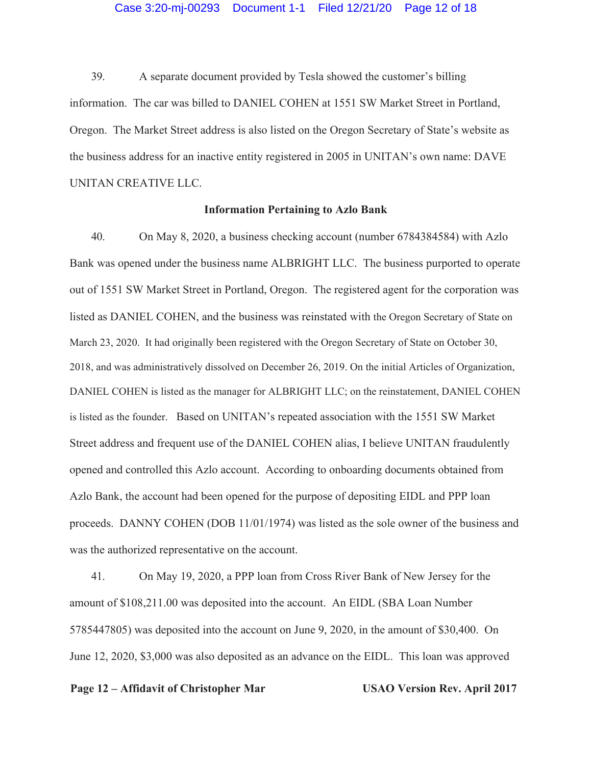#### Case 3:20-mj-00293 Document 1-1 Filed 12/21/20 Page 12 of 18

39. A separate document provided by Tesla showed the customer's billing information. The car was billed to DANIEL COHEN at 1551 SW Market Street in Portland, Oregon. The Market Street address is also listed on the Oregon Secretary of State's website as the business address for an inactive entity registered in 2005 in UNITAN's own name: DAVE UNITAN CREATIVE LLC.

# **Information Pertaining to Azlo Bank**

40. On May 8, 2020, a business checking account (number 6784384584) with Azlo Bank was opened under the business name ALBRIGHT LLC. The business purported to operate out of 1551 SW Market Street in Portland, Oregon. The registered agent for the corporation was listed as DANIEL COHEN, and the business was reinstated with the Oregon Secretary of State on March 23, 2020. It had originally been registered with the Oregon Secretary of State on October 30, 2018, and was administratively dissolved on December 26, 2019. On the initial Articles of Organization, DANIEL COHEN is listed as the manager for ALBRIGHT LLC; on the reinstatement, DANIEL COHEN is listed as the founder. Based on UNITAN's repeated association with the 1551 SW Market Street address and frequent use of the DANIEL COHEN alias, I believe UNITAN fraudulently opened and controlled this Azlo account. According to onboarding documents obtained from Azlo Bank, the account had been opened for the purpose of depositing EIDL and PPP loan proceeds. DANNY COHEN (DOB 11/01/1974) was listed as the sole owner of the business and was the authorized representative on the account.

41. On May 19, 2020, a PPP loan from Cross River Bank of New Jersey for the amount of \$108,211.00 was deposited into the account. An EIDL (SBA Loan Number 5785447805) was deposited into the account on June 9, 2020, in the amount of \$30,400. On June 12, 2020, \$3,000 was also deposited as an advance on the EIDL. This loan was approved

# **Page 12 – Affidavit of Christopher Mar USAO Version Rev. April 2017**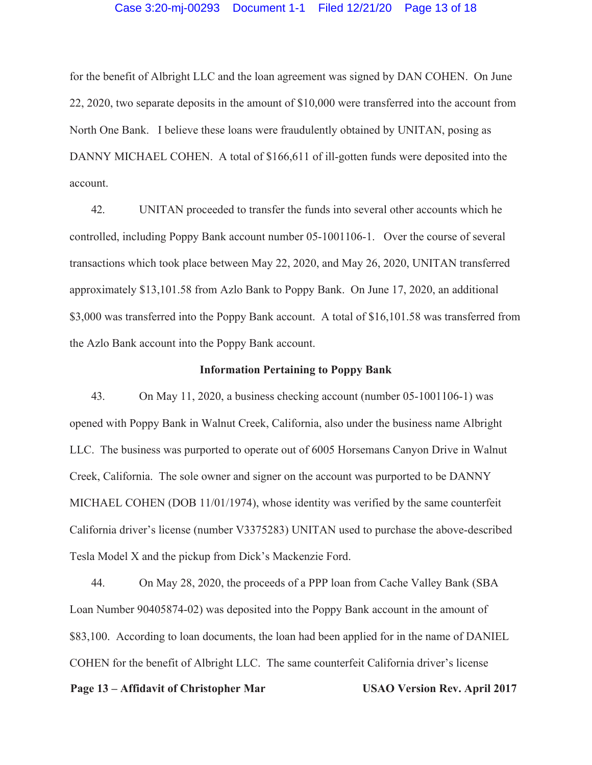#### Case 3:20-mj-00293 Document 1-1 Filed 12/21/20 Page 13 of 18

for the benefit of Albright LLC and the loan agreement was signed by DAN COHEN. On June 22, 2020, two separate deposits in the amount of \$10,000 were transferred into the account from North One Bank. I believe these loans were fraudulently obtained by UNITAN, posing as DANNY MICHAEL COHEN. A total of \$166,611 of ill-gotten funds were deposited into the account.

42. UNITAN proceeded to transfer the funds into several other accounts which he controlled, including Poppy Bank account number 05-1001106-1. Over the course of several transactions which took place between May 22, 2020, and May 26, 2020, UNITAN transferred approximately \$13,101.58 from Azlo Bank to Poppy Bank. On June 17, 2020, an additional \$3,000 was transferred into the Poppy Bank account. A total of \$16,101.58 was transferred from the Azlo Bank account into the Poppy Bank account.

#### **Information Pertaining to Poppy Bank**

43. On May 11, 2020, a business checking account (number 05-1001106-1) was opened with Poppy Bank in Walnut Creek, California, also under the business name Albright LLC. The business was purported to operate out of 6005 Horsemans Canyon Drive in Walnut Creek, California. The sole owner and signer on the account was purported to be DANNY MICHAEL COHEN (DOB 11/01/1974), whose identity was verified by the same counterfeit California driver's license (number V3375283) UNITAN used to purchase the above-described Tesla Model X and the pickup from Dick's Mackenzie Ford.

44. On May 28, 2020, the proceeds of a PPP loan from Cache Valley Bank (SBA Loan Number 90405874-02) was deposited into the Poppy Bank account in the amount of \$83,100. According to loan documents, the loan had been applied for in the name of DANIEL COHEN for the benefit of Albright LLC. The same counterfeit California driver's license

#### **Page 13 – Affidavit of Christopher Mar USAO Version Rev. April 2017**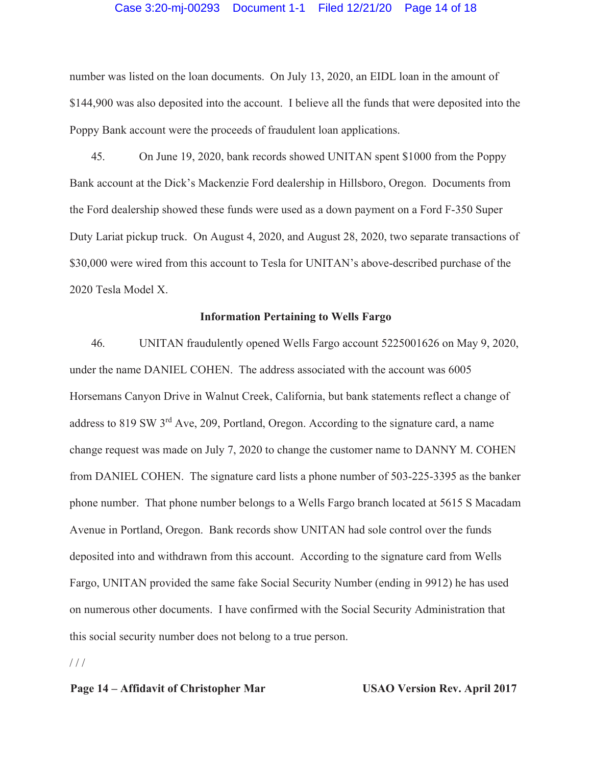#### Case 3:20-mj-00293 Document 1-1 Filed 12/21/20 Page 14 of 18

number was listed on the loan documents. On July 13, 2020, an EIDL loan in the amount of \$144,900 was also deposited into the account. I believe all the funds that were deposited into the Poppy Bank account were the proceeds of fraudulent loan applications.

45. On June 19, 2020, bank records showed UNITAN spent \$1000 from the Poppy Bank account at the Dick's Mackenzie Ford dealership in Hillsboro, Oregon. Documents from the Ford dealership showed these funds were used as a down payment on a Ford F-350 Super Duty Lariat pickup truck. On August 4, 2020, and August 28, 2020, two separate transactions of \$30,000 were wired from this account to Tesla for UNITAN's above-described purchase of the 2020 Tesla Model X.

# **Information Pertaining to Wells Fargo**

46. UNITAN fraudulently opened Wells Fargo account 5225001626 on May 9, 2020, under the name DANIEL COHEN. The address associated with the account was 6005 Horsemans Canyon Drive in Walnut Creek, California, but bank statements reflect a change of address to 819 SW 3rd Ave, 209, Portland, Oregon. According to the signature card, a name change request was made on July 7, 2020 to change the customer name to DANNY M. COHEN from DANIEL COHEN. The signature card lists a phone number of 503-225-3395 as the banker phone number. That phone number belongs to a Wells Fargo branch located at 5615 S Macadam Avenue in Portland, Oregon. Bank records show UNITAN had sole control over the funds deposited into and withdrawn from this account. According to the signature card from Wells Fargo, UNITAN provided the same fake Social Security Number (ending in 9912) he has used on numerous other documents. I have confirmed with the Social Security Administration that this social security number does not belong to a true person.

 $1/1$ 

# **Page 14 – Affidavit of Christopher Mar USAO Version Rev. April 2017**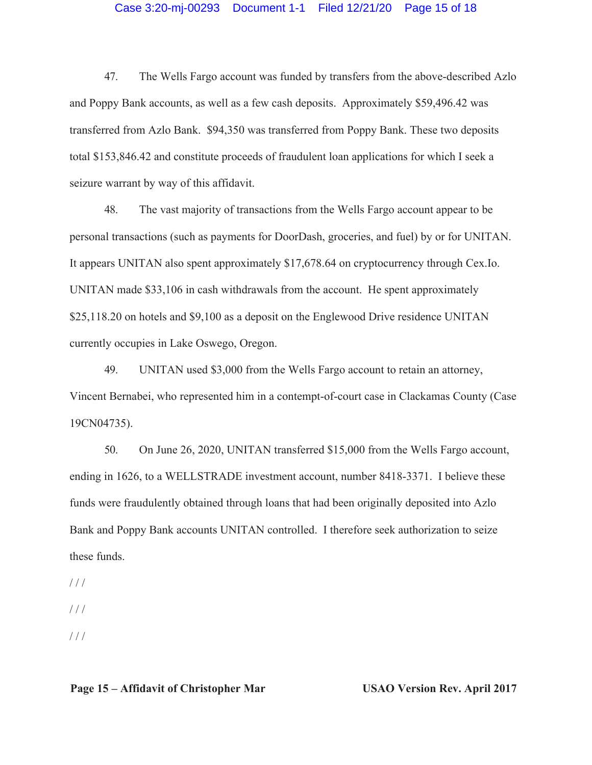# Case 3:20-mj-00293 Document 1-1 Filed 12/21/20 Page 15 of 18

47. The Wells Fargo account was funded by transfers from the above-described Azlo and Poppy Bank accounts, as well as a few cash deposits. Approximately \$59,496.42 was transferred from Azlo Bank. \$94,350 was transferred from Poppy Bank. These two deposits total \$153,846.42 and constitute proceeds of fraudulent loan applications for which I seek a seizure warrant by way of this affidavit.

48. The vast majority of transactions from the Wells Fargo account appear to be personal transactions (such as payments for DoorDash, groceries, and fuel) by or for UNITAN. It appears UNITAN also spent approximately \$17,678.64 on cryptocurrency through Cex.Io. UNITAN made \$33,106 in cash withdrawals from the account. He spent approximately \$25,118.20 on hotels and \$9,100 as a deposit on the Englewood Drive residence UNITAN currently occupies in Lake Oswego, Oregon.

49. UNITAN used \$3,000 from the Wells Fargo account to retain an attorney, Vincent Bernabei, who represented him in a contempt-of-court case in Clackamas County (Case 19CN04735).

50. On June 26, 2020, UNITAN transferred \$15,000 from the Wells Fargo account, ending in 1626, to a WELLSTRADE investment account, number 8418-3371. I believe these funds were fraudulently obtained through loans that had been originally deposited into Azlo Bank and Poppy Bank accounts UNITAN controlled. I therefore seek authorization to seize these funds.

 $//$ 

 $//$ 

/ / /

# **Page 15 – Affidavit of Christopher Mar USAO Version Rev. April 2017**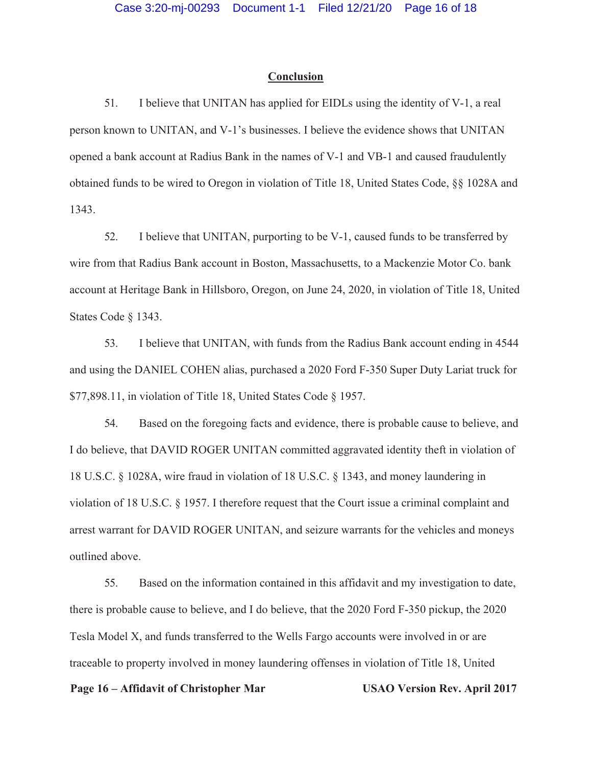#### **Conclusion**

51. I believe that UNITAN has applied for EIDLs using the identity of V-1, a real person known to UNITAN, and V-1's businesses. I believe the evidence shows that UNITAN opened a bank account at Radius Bank in the names of V-1 and VB-1 and caused fraudulently obtained funds to be wired to Oregon in violation of Title 18, United States Code, §§ 1028A and 1343.

52. I believe that UNITAN, purporting to be V-1, caused funds to be transferred by wire from that Radius Bank account in Boston, Massachusetts, to a Mackenzie Motor Co. bank account at Heritage Bank in Hillsboro, Oregon, on June 24, 2020, in violation of Title 18, United States Code § 1343.

53. I believe that UNITAN, with funds from the Radius Bank account ending in 4544 and using the DANIEL COHEN alias, purchased a 2020 Ford F-350 Super Duty Lariat truck for \$77,898.11, in violation of Title 18, United States Code § 1957.

54. Based on the foregoing facts and evidence, there is probable cause to believe, and I do believe, that DAVID ROGER UNITAN committed aggravated identity theft in violation of 18 U.S.C. § 1028A, wire fraud in violation of 18 U.S.C. § 1343, and money laundering in violation of 18 U.S.C. § 1957. I therefore request that the Court issue a criminal complaint and arrest warrant for DAVID ROGER UNITAN, and seizure warrants for the vehicles and moneys outlined above.

55. Based on the information contained in this affidavit and my investigation to date, there is probable cause to believe, and I do believe, that the 2020 Ford F-350 pickup, the 2020 Tesla Model X, and funds transferred to the Wells Fargo accounts were involved in or are traceable to property involved in money laundering offenses in violation of Title 18, United

#### **Page 16 – Affidavit of Christopher Mar USAO Version Rev. April 2017**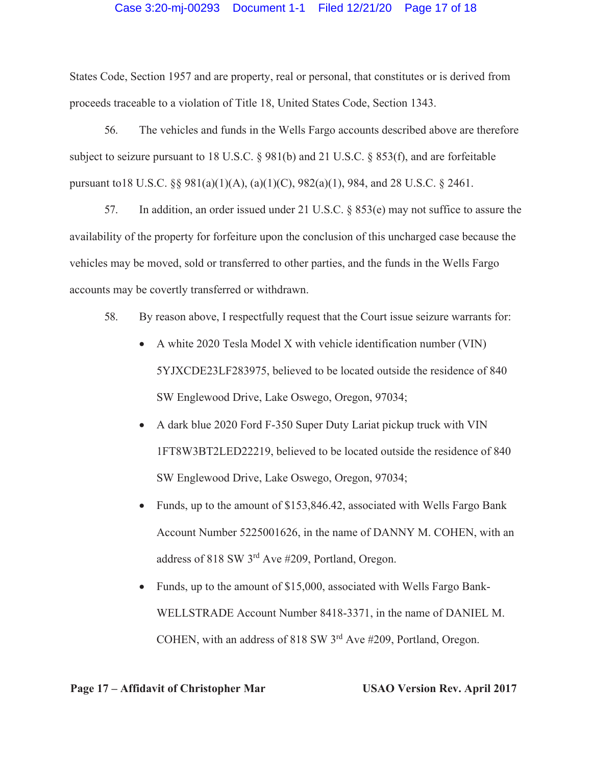#### Case 3:20-mj-00293 Document 1-1 Filed 12/21/20 Page 17 of 18

States Code, Section 1957 and are property, real or personal, that constitutes or is derived from proceeds traceable to a violation of Title 18, United States Code, Section 1343.

56. The vehicles and funds in the Wells Fargo accounts described above are therefore subject to seizure pursuant to 18 U.S.C. § 981(b) and 21 U.S.C. § 853(f), and are forfeitable pursuant to18 U.S.C. §§ 981(a)(1)(A), (a)(1)(C), 982(a)(1), 984, and 28 U.S.C. § 2461.

57. In addition, an order issued under 21 U.S.C. § 853(e) may not suffice to assure the availability of the property for forfeiture upon the conclusion of this uncharged case because the vehicles may be moved, sold or transferred to other parties, and the funds in the Wells Fargo accounts may be covertly transferred or withdrawn.

58. By reason above, I respectfully request that the Court issue seizure warrants for:

- $\bullet$  A white 2020 Tesla Model X with vehicle identification number (VIN) 5YJXCDE23LF283975, believed to be located outside the residence of 840 SW Englewood Drive, Lake Oswego, Oregon, 97034;
- A dark blue 2020 Ford F-350 Super Duty Lariat pickup truck with VIN 1FT8W3BT2LED22219, believed to be located outside the residence of 840 SW Englewood Drive, Lake Oswego, Oregon, 97034;
- Funds, up to the amount of  $$153,846.42$ , associated with Wells Fargo Bank Account Number 5225001626, in the name of DANNY M. COHEN, with an address of 818 SW 3rd Ave #209, Portland, Oregon.
- Funds, up to the amount of \$15,000, associated with Wells Fargo Bank-WELLSTRADE Account Number 8418-3371, in the name of DANIEL M. COHEN, with an address of 818 SW 3rd Ave #209, Portland, Oregon.